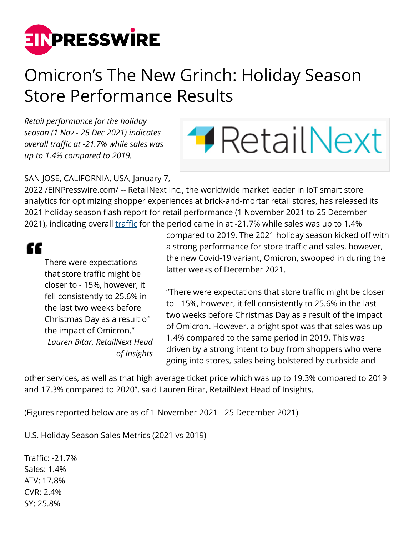

## Omicron's The New Grinch: Holiday Season Store Performance Results

*Retail performance for the holiday season (1 Nov - 25 Dec 2021) indicates overall traffic at -21.7% while sales was up to 1.4% compared to 2019.*



SAN JOSE, CALIFORNIA, USA, January 7,

2022 /[EINPresswire.com](http://www.einpresswire.com)/ -- RetailNext Inc., the worldwide market leader in IoT smart store analytics for optimizing shopper experiences at brick-and-mortar retail stores, has released its 2021 holiday season flash report for retail performance (1 November 2021 to 25 December 2021), indicating overall [traffic](https://retailnext.net/product/traffic?utm_source=einpresswire.com+&utm_medium=press_release&utm_campaign=holiday_season_results) for the period came in at -21.7% while sales was up to 1.4%

££

There were expectations that store traffic might be closer to - 15%, however, it fell consistently to 25.6% in the last two weeks before Christmas Day as a result of the impact of Omicron." *Lauren Bitar, RetailNext Head of Insights*

compared to 2019. The 2021 holiday season kicked off with a strong performance for store traffic and sales, however, the new Covid-19 variant, Omicron, swooped in during the latter weeks of December 2021.

"There were expectations that store traffic might be closer to - 15%, however, it fell consistently to 25.6% in the last two weeks before Christmas Day as a result of the impact of Omicron. However, a bright spot was that sales was up 1.4% compared to the same period in 2019. This was driven by a strong intent to buy from shoppers who were going into stores, sales being bolstered by curbside and

other services, as well as that high average ticket price which was up to 19.3% compared to 2019 and 17.3% compared to 2020", said Lauren Bitar, RetailNext Head of Insights.

(Figures reported below are as of 1 November 2021 - 25 December 2021)

U.S. Holiday Season Sales Metrics (2021 vs 2019)

Traffic: -21.7% Sales: 1.4% ATV: 17.8% CVR: 2.4% SY: 25.8%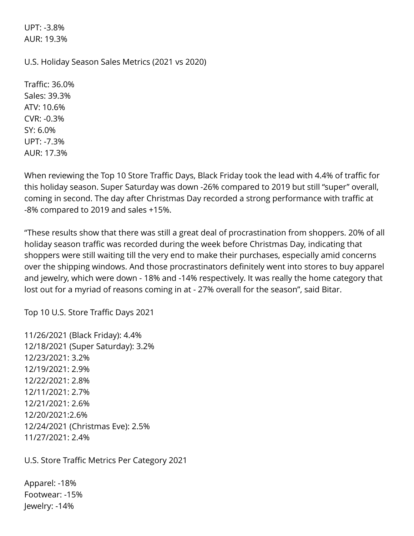UPT: -3.8% AUR: 19.3%

U.S. Holiday Season Sales Metrics (2021 vs 2020)

Traffic: 36.0% Sales: 39.3% ATV: 10.6% CVR: -0.3% SY: 6.0% UPT: -7.3% AUR: 17.3%

When reviewing the Top 10 Store Traffic Days, Black Friday took the lead with 4.4% of traffic for this holiday season. Super Saturday was down -26% compared to 2019 but still "super" overall, coming in second. The day after Christmas Day recorded a strong performance with traffic at -8% compared to 2019 and sales +15%.

"These results show that there was still a great deal of procrastination from shoppers. 20% of all holiday season traffic was recorded during the week before Christmas Day, indicating that shoppers were still waiting till the very end to make their purchases, especially amid concerns over the shipping windows. And those procrastinators definitely went into stores to buy apparel and jewelry, which were down - 18% and -14% respectively. It was really the home category that lost out for a myriad of reasons coming in at - 27% overall for the season", said Bitar.

Top 10 U.S. Store Traffic Days 2021

11/26/2021 (Black Friday): 4.4% 12/18/2021 (Super Saturday): 3.2% 12/23/2021: 3.2% 12/19/2021: 2.9% 12/22/2021: 2.8% 12/11/2021: 2.7% 12/21/2021: 2.6% 12/20/2021:2.6% 12/24/2021 (Christmas Eve): 2.5% 11/27/2021: 2.4%

U.S. Store Traffic Metrics Per Category 2021

Apparel: -18% Footwear: -15% Jewelry: -14%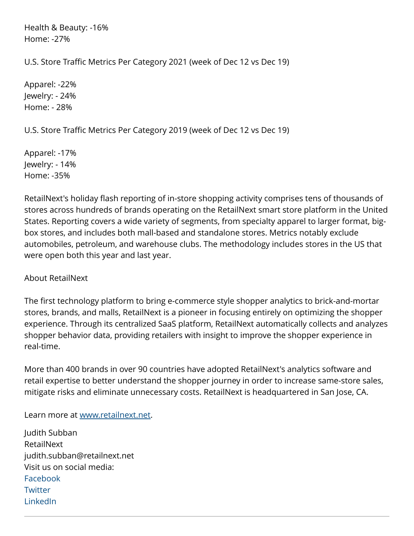Health & Beauty: -16% Home: -27%

U.S. Store Traffic Metrics Per Category 2021 (week of Dec 12 vs Dec 19)

Apparel: -22% Jewelry: - 24% Home: - 28%

U.S. Store Traffic Metrics Per Category 2019 (week of Dec 12 vs Dec 19)

Apparel: -17% Jewelry: - 14% Home: -35%

RetailNext's holiday flash reporting of in-store shopping activity comprises tens of thousands of stores across hundreds of brands operating on the RetailNext smart store platform in the United States. Reporting covers a wide variety of segments, from specialty apparel to larger format, bigbox stores, and includes both mall-based and standalone stores. Metrics notably exclude automobiles, petroleum, and warehouse clubs. The methodology includes stores in the US that were open both this year and last year.

## About RetailNext

The first technology platform to bring e-commerce style shopper analytics to brick-and-mortar stores, brands, and malls, RetailNext is a pioneer in focusing entirely on optimizing the shopper experience. Through its centralized SaaS platform, RetailNext automatically collects and analyzes shopper behavior data, providing retailers with insight to improve the shopper experience in real-time.

More than 400 brands in over 90 countries have adopted RetailNext's analytics software and retail expertise to better understand the shopper journey in order to increase same-store sales, mitigate risks and eliminate unnecessary costs. RetailNext is headquartered in San Jose, CA.

Learn more at [www.retailnext.net.](https://retailnext.net/?utm_source=einpresswire.com+&utm_medium=press_release&utm_campaign=holiday_season_results)

Judith Subban RetailNext judith.subban@retailnext.net Visit us on social media: [Facebook](https://www.facebook.com/retailnext) **[Twitter](https://twitter.com/RetailNext)** [LinkedIn](https://www.linkedin.com/company/retailnext)